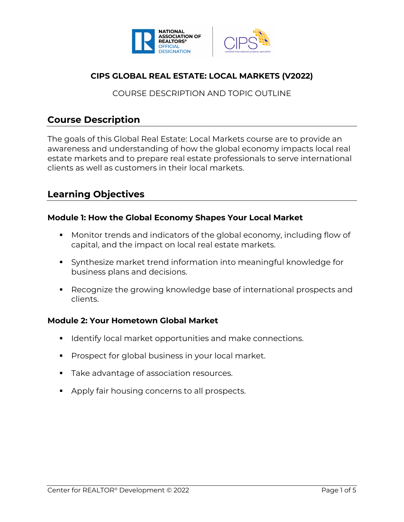



# **CIPS GLOBAL REAL ESTATE: LOCAL MARKETS (V2022)**

# COURSE DESCRIPTION AND TOPIC OUTLINE

# **Course Description**

The goals of this Global Real Estate: Local Markets course are to provide an awareness and understanding of how the global economy impacts local real estate markets and to prepare real estate professionals to serve international clients as well as customers in their local markets.

# **Learning Objectives**

# **Module 1: How the Global Economy Shapes Your Local Market**

- Monitor trends and indicators of the global economy, including flow of capital, and the impact on local real estate markets.
- Synthesize market trend information into meaningful knowledge for business plans and decisions.
- Recognize the growing knowledge base of international prospects and clients.

# **Module 2: Your Hometown Global Market**

- Identify local market opportunities and make connections.
- **Prospect for global business in your local market.**
- Take advantage of association resources.
- Apply fair housing concerns to all prospects.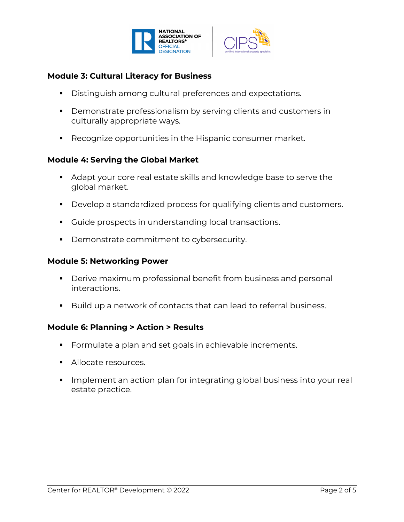



# **Module 3: Cultural Literacy for Business**

- Distinguish among cultural preferences and expectations.
- Demonstrate professionalism by serving clients and customers in culturally appropriate ways.
- Recognize opportunities in the Hispanic consumer market.

# **Module 4: Serving the Global Market**

- Adapt your core real estate skills and knowledge base to serve the global market.
- Develop a standardized process for qualifying clients and customers.
- Guide prospects in understanding local transactions.
- Demonstrate commitment to cybersecurity.

### **Module 5: Networking Power**

- Derive maximum professional benefit from business and personal interactions.
- Build up a network of contacts that can lead to referral business.

# **Module 6: Planning > Action > Results**

- Formulate a plan and set goals in achievable increments.
- § Allocate resources.
- Implement an action plan for integrating global business into your real estate practice.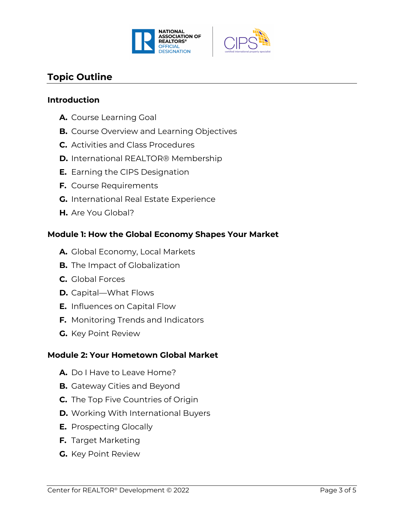



# **Topic Outline**

#### **Introduction**

- **A.** Course Learning Goal
- **B.** Course Overview and Learning Objectives
- **C.** Activities and Class Procedures
- **D.** International REALTOR® Membership
- **E.** Earning the CIPS Designation
- **F.** Course Requirements
- **G.** International Real Estate Experience
- **H.** Are You Global?

#### **Module 1: How the Global Economy Shapes Your Market**

- **A.** Global Economy, Local Markets
- **B.** The Impact of Globalization
- **C.** Global Forces
- **D.** Capital—What Flows
- **E.** Influences on Capital Flow
- **F.** Monitoring Trends and Indicators
- **G.** Key Point Review

#### **Module 2: Your Hometown Global Market**

- **A.** Do I Have to Leave Home?
- **B.** Gateway Cities and Beyond
- **C.** The Top Five Countries of Origin
- **D.** Working With International Buyers
- **E.** Prospecting Glocally
- **F.** Target Marketing
- **G.** Key Point Review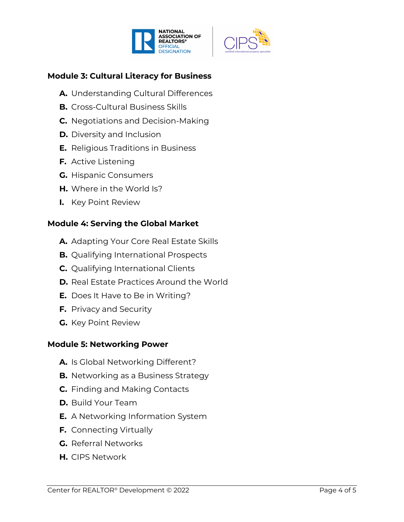



# **Module 3: Cultural Literacy for Business**

- **A.** Understanding Cultural Differences
- **B.** Cross-Cultural Business Skills
- **C.** Negotiations and Decision-Making
- **D.** Diversity and Inclusion
- **E.** Religious Traditions in Business
- **F.** Active Listening
- **G.** Hispanic Consumers
- **H.** Where in the World Is?
- **I.** Key Point Review

# **Module 4: Serving the Global Market**

- **A.** Adapting Your Core Real Estate Skills
- **B.** Qualifying International Prospects
- **C.** Qualifying International Clients
- **D.** Real Estate Practices Around the World
- **E.** Does It Have to Be in Writing?
- **F.** Privacy and Security
- **G.** Key Point Review

# **Module 5: Networking Power**

- **A.** Is Global Networking Different?
- **B.** Networking as a Business Strategy
- **C.** Finding and Making Contacts
- **D.** Build Your Team
- **E.** A Networking Information System
- **F.** Connecting Virtually
- **G.** Referral Networks
- **H.** CIPS Network